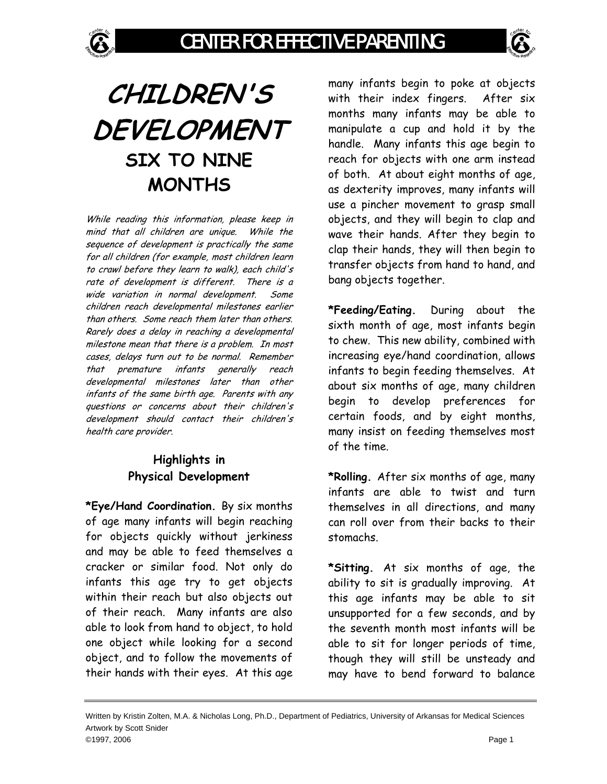## **CHILDREN'S DEVELOPMENT SIX TO NINE MONTHS**

While reading this information, please keep in mind that all children are unique. While the sequence of development is practically the same for all children (for example, most children learn to crawl before they learn to walk), each child's rate of development is different. There is a wide variation in normal development. Some children reach developmental milestones earlier than others. Some reach them later than others. Rarely does a delay in reaching a developmental milestone mean that there is a problem. In most cases, delays turn out to be normal. Remember that premature infants generally reach developmental milestones later than other infants of the same birth age. Parents with any questions or concerns about their children's development should contact their children's health care provider.

## **Highlights in Physical Development**

**\*Eye/Hand Coordination.** By six months of age many infants will begin reaching for objects quickly without jerkiness and may be able to feed themselves a cracker or similar food. Not only do infants this age try to get objects within their reach but also objects out of their reach. Many infants are also able to look from hand to object, to hold one object while looking for a second object, and to follow the movements of their hands with their eyes. At this age

many infants begin to poke at objects with their index fingers. After six months many infants may be able to manipulate a cup and hold it by the handle. Many infants this age begin to reach for objects with one arm instead of both. At about eight months of age, as dexterity improves, many infants will use a pincher movement to grasp small objects, and they will begin to clap and wave their hands. After they begin to clap their hands, they will then begin to transfer objects from hand to hand, and bang objects together.

**\*Feeding/Eating.** During about the sixth month of age, most infants begin to chew. This new ability, combined with increasing eye/hand coordination, allows infants to begin feeding themselves. At about six months of age, many children begin to develop preferences for certain foods, and by eight months, many insist on feeding themselves most of the time.

**\*Rolling.** After six months of age, many infants are able to twist and turn themselves in all directions, and many can roll over from their backs to their stomachs.

**\*Sitting.** At six months of age, the ability to sit is gradually improving. At this age infants may be able to sit unsupported for a few seconds, and by the seventh month most infants will be able to sit for longer periods of time, though they will still be unsteady and may have to bend forward to balance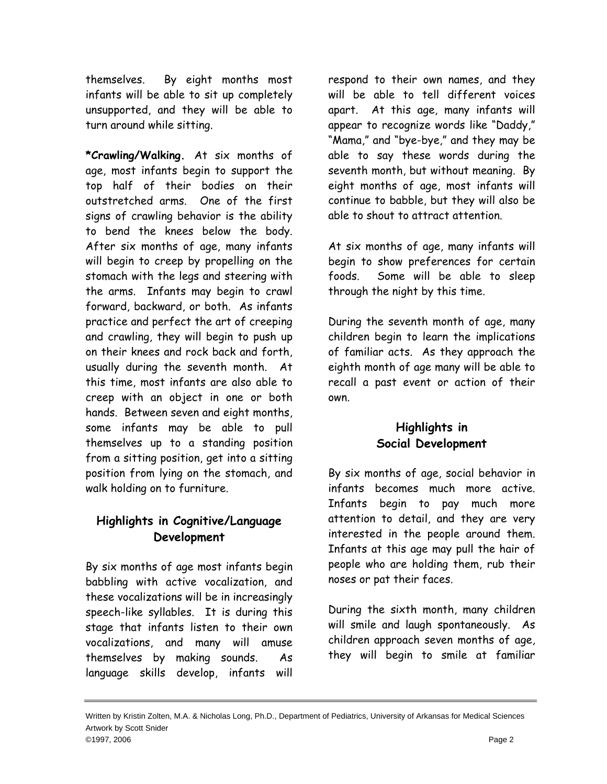themselves. By eight months most infants will be able to sit up completely unsupported, and they will be able to turn around while sitting.

**\*Crawling/Walking.** At six months of age, most infants begin to support the top half of their bodies on their outstretched arms. One of the first signs of crawling behavior is the ability to bend the knees below the body. After six months of age, many infants will begin to creep by propelling on the stomach with the legs and steering with the arms. Infants may begin to crawl forward, backward, or both. As infants practice and perfect the art of creeping and crawling, they will begin to push up on their knees and rock back and forth, usually during the seventh month. At this time, most infants are also able to creep with an object in one or both hands. Between seven and eight months, some infants may be able to pull themselves up to a standing position from a sitting position, get into a sitting position from lying on the stomach, and walk holding on to furniture.

## **Highlights in Cognitive/Language Development**

By six months of age most infants begin babbling with active vocalization, and these vocalizations will be in increasingly speech-like syllables. It is during this stage that infants listen to their own vocalizations, and many will amuse themselves by making sounds. As language skills develop, infants will

respond to their own names, and they will be able to tell different voices apart. At this age, many infants will appear to recognize words like "Daddy," "Mama," and "bye-bye," and they may be able to say these words during the seventh month, but without meaning. By eight months of age, most infants will continue to babble, but they will also be able to shout to attract attention.

At six months of age, many infants will begin to show preferences for certain foods. Some will be able to sleep through the night by this time.

During the seventh month of age, many children begin to learn the implications of familiar acts. As they approach the eighth month of age many will be able to recall a past event or action of their own.

## **Highlights in Social Development**

By six months of age, social behavior in infants becomes much more active. Infants begin to pay much more attention to detail, and they are very interested in the people around them. Infants at this age may pull the hair of people who are holding them, rub their noses or pat their faces.

During the sixth month, many children will smile and laugh spontaneously. As children approach seven months of age, they will begin to smile at familiar